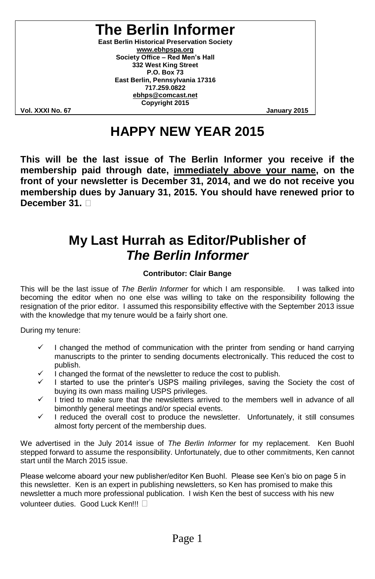# **The Berlin Informer**

**East Berlin Historical Preservation Society www.ebhpspa.org** Society Office - Red Men's Hall **332 West King Street P.O. Box 73 East Berlin, Pennsylvania 17316 717.259.0822 ebhps@comcast.net Copyright 2015**

**Vol. XXXI No. 67 January 2015**

# **HAPPY NEW YEAR 2015**

**This will be the last issue of The Berlin Informer you receive if the membership paid through date, immediately above your name, on the front of your newsletter is December 31, 2014, and we do not receive you membership dues by January 31, 2015. You should have renewed prior to December 31.**

## **My Last Hurrah as Editor/Publisher of** *The Berlin Informer*

#### **Contributor: Clair Bange**

This will be the last issue of *The Berlin Informer* for which I am responsible. I was talked into becoming the editor when no one else was willing to take on the responsibility following the resignation of the prior editor. I assumed this responsibility effective with the September 2013 issue with the knowledge that my tenure would be a fairly short one.

During my tenure:

- I changed the method of communication with the printer from sending or hand carrying manuscripts to the printer to sending documents electronically. This reduced the cost to publish.
- I changed the format of the newsletter to reduce the cost to publish.
- I started to use the printer's USPS mailing privileges, saving the Society the cost of buying its own mass mailing USPS privileges.
- I tried to make sure that the newsletters arrived to the members well in advance of all bimonthly general meetings and/or special events.
- $\checkmark$  I reduced the overall cost to produce the newsletter. Unfortunately, it still consumes almost forty percent of the membership dues.

We advertised in the July 2014 issue of *The Berlin Informer* for my replacement. Ken Buohl stepped forward to assume the responsibility. Unfortunately, due to other commitments, Ken cannot start until the March 2015 issue.

Please welcome aboard your new publisher/editor Ken Buohl. Please see Ken's bio on page 5 in this newsletter. Ken is an expert in publishing newsletters, so Ken has promised to make this newsletter a much more professional publication. I wish Ken the best of success with his new volunteer duties. Good Luck Ken!!!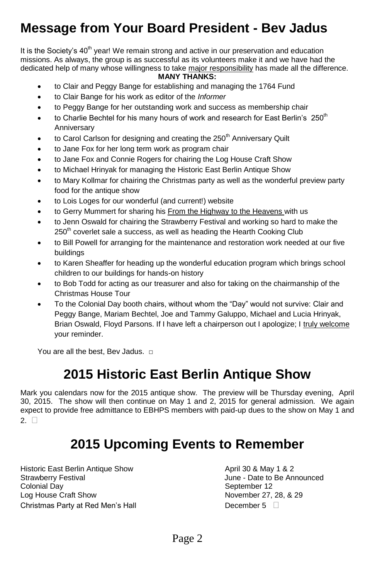# **Message from Your Board President - Bev Jadus**

It is the Society's  $40<sup>th</sup>$  year! We remain strong and active in our preservation and education missions. As always, the group is as successful as its volunteers make it and we have had the dedicated help of many whose willingness to take major responsibility has made all the difference.

#### **MANY THANKS:**

- to Clair and Peggy Bange for establishing and managing the 1764 Fund
- to Clair Bange for his work as editor of the *Informer*
- to Peggy Bange for her outstanding work and success as membership chair
- $\bullet$  to Charlie Bechtel for his many hours of work and research for East Berlin's 250<sup>th</sup> Anniversary
- to Carol Carlson for designing and creating the  $250<sup>th</sup>$  Anniversary Quilt
- to Jane Fox for her long term work as program chair
- to Jane Fox and Connie Rogers for chairing the Log House Craft Show
- to Michael Hrinyak for managing the Historic East Berlin Antique Show
- to Mary Kollmar for chairing the Christmas party as well as the wonderful preview party food for the antique show
- to Lois Loges for our wonderful (and current!) website
- to Gerry Mummert for sharing his From the Highway to the Heavens with us
- to Jenn Oswald for chairing the Strawberry Festival and working so hard to make the  $250<sup>th</sup>$  coverlet sale a success, as well as heading the Hearth Cooking Club
- to Bill Powell for arranging for the maintenance and restoration work needed at our five buildings
- to Karen Sheaffer for heading up the wonderful education program which brings school children to our buildings for hands-on history
- to Bob Todd for acting as our treasurer and also for taking on the chairmanship of the Christmas House Tour
- To the Colonial Day booth chairs, without whom the "Day" would not survive: Clair and Peggy Bange, Mariam Bechtel, Joe and Tammy Galuppo, Michael and Lucia Hrinyak, Brian Oswald, Floyd Parsons. If I have left a chairperson out I apologize; I truly welcome your reminder.

You are all the best, Bey Jadus.  $□$ 

## **2015 Historic East Berlin Antique Show**

Mark you calendars now for the 2015 antique show. The preview will be Thursday evening, April 30, 2015. The show will then continue on May 1 and 2, 2015 for general admission. We again expect to provide free admittance to EBHPS members with paid-up dues to the show on May 1 and 2.  $\square$ 

# **2015 Upcoming Events to Remember**

Historic East Berlin Antique Show **April 30 & May 1 & 2** Strawberry Festival June - Date to Be Announced Colonial Day November 12<br>
Log House Craft Show November 27, Christmas Party at Red Men's Hall **December 5** December 5 D

November 27, 28, & 29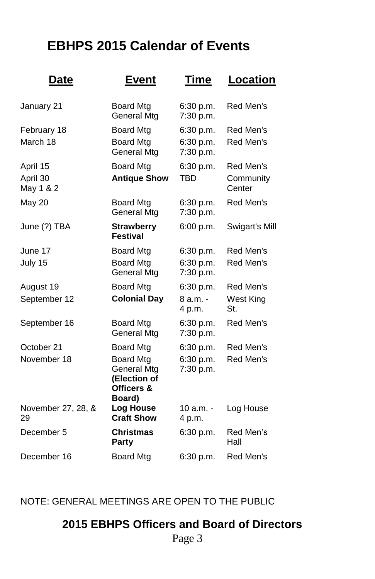# **EBHPS 2015 Calendar of Events**

| Date                     | <b>Event</b>                                                            | Time                   | <b>Location</b>     |
|--------------------------|-------------------------------------------------------------------------|------------------------|---------------------|
| January 21               | <b>Board Mtg</b><br>General Mtg                                         | 6:30 p.m.<br>7:30 p.m. | Red Men's           |
| February 18              | <b>Board Mtg</b>                                                        | 6:30 p.m.              | Red Men's           |
| March 18                 | <b>Board Mtg</b><br>General Mtg                                         | 6:30 p.m.<br>7:30 p.m. | Red Men's           |
| April 15                 | <b>Board Mtg</b>                                                        | 6:30 p.m.              | Red Men's           |
| April 30<br>May 1 & 2    | <b>Antique Show</b>                                                     | TBD                    | Community<br>Center |
| May 20                   | <b>Board Mtg</b><br>General Mtg                                         | 6:30 p.m.<br>7:30 p.m. | Red Men's           |
| June (?) TBA             | <b>Strawberry</b><br><b>Festival</b>                                    | 6:00 p.m.              | Swigart's Mill      |
| June 17                  | <b>Board Mtg</b>                                                        | 6:30 p.m.              | Red Men's           |
| July 15                  | <b>Board Mtg</b><br>General Mtg                                         | 6:30 p.m.<br>7:30 p.m. | Red Men's           |
| August 19                | <b>Board Mtg</b>                                                        | 6:30 p.m.              | Red Men's           |
| September 12             | <b>Colonial Day</b>                                                     | 8 a.m. -<br>4 p.m.     | West King<br>St.    |
| September 16             | <b>Board Mtg</b><br>General Mtg                                         | 6:30 p.m.<br>7:30 p.m. | Red Men's           |
| October 21               | <b>Board Mtg</b>                                                        | 6:30 p.m.              | Red Men's           |
| November 18              | <b>Board Mtg</b><br>General Mtg<br>(Election of<br>Officers &<br>Board) | 6:30 p.m.<br>7:30 p.m. | Red Men's           |
| November 27, 28, &<br>29 | <b>Log House</b><br><b>Craft Show</b>                                   | 10 a.m. -<br>4 p.m.    | Log House           |
| December 5               | Christmas<br>Party                                                      | 6:30 p.m.              | Red Men's<br>Hall   |
| December 16              | <b>Board Mtg</b>                                                        | 6:30 p.m.              | Red Men's           |

NOTE: GENERAL MEETINGS ARE OPEN TO THE PUBLIC

## **2015 EBHPS Officers and Board of Directors**

Page 3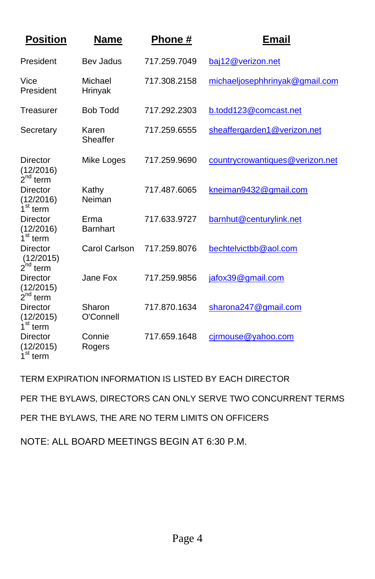| <b>Position</b>                               | Name                | <b>Phone</b> # | <b>Email</b>                    |
|-----------------------------------------------|---------------------|----------------|---------------------------------|
| President                                     | Bev Jadus           | 717.259.7049   | baj12@verizon.net               |
| Vice<br>President                             | Michael<br>Hrinyak  | 717.308.2158   | michaeljosephhrinyak@gmail.com  |
| Treasurer                                     | <b>Bob Todd</b>     | 717.292.2303   | b.todd123@comcast.net           |
| Secretary                                     | Karen<br>Sheaffer   | 717.259.6555   | sheaffergarden1@verizon.net     |
| Director<br>(12/2016)<br>$2^{nd}$ term        | Mike Loges          | 717.259.9690   | countrycrowantiques@verizon.net |
| Director<br>(12/2016)<br>1 <sup>st</sup> term | Kathy<br>Neiman     | 717.487.6065   | kneiman9432@gmail.com           |
| <b>Director</b><br>(12/2016)<br>$1st$ term    | Erma<br>Barnhart    | 717.633.9727   | barnhut@centurylink.net         |
| Director<br>(12/2015)<br>$2^{nd}$ term        | Carol Carlson       | 717.259.8076   | bechtelvictbb@aol.com           |
| Director<br>(12/2015)<br>$2^{nd}$ term        | Jane Fox            | 717.259.9856   | jafox39@gmail.com               |
| Director<br>(12/2015)<br>1 <sup>st</sup> term | Sharon<br>O'Connell | 717.870.1634   | sharona247@gmail.com            |
| Director<br>(12/2015)<br>1 <sup>st</sup> term | Connie<br>Rogers    | 717.659.1648   | cirmouse@yahoo.com              |

TERM EXPIRATION INFORMATION IS LISTED BY EACH DIRECTOR

PER THE BYLAWS, DIRECTORS CAN ONLY SERVE TWO CONCURRENT TERMS

PER THE BYLAWS, THE ARE NO TERM LIMITS ON OFFICERS

NOTE: ALL BOARD MEETINGS BEGIN AT 6:30 P.M.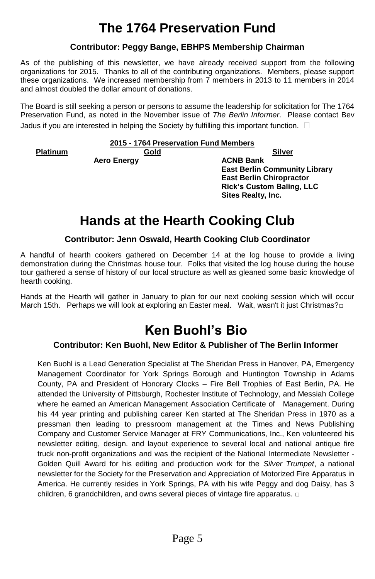# **The 1764 Preservation Fund**

### **Contributor: Peggy Bange, EBHPS Membership Chairman**

As of the publishing of this newsletter, we have already received support from the following organizations for 2015. Thanks to all of the contributing organizations. Members, please support these organizations. We increased membership from 7 members in 2013 to 11 members in 2014 and almost doubled the dollar amount of donations.

The Board is still seeking a person or persons to assume the leadership for solicitation for The 1764 Preservation Fund, as noted in the November issue of *The Berlin Informer*. Please contact Bev Jadus if you are interested in helping the Society by fulfilling this important function.  $\Box$ 

### **2015 - 1764 Preservation Fund Members**

**Platinum Gold Silver**

**Aero Energy ACNB Bank**

**East Berlin Community Library East Berlin Chiropractor Rick's Custom Baling, LLC Sites Realty, Inc.**

# **Hands at the Hearth Cooking Club**

### **Contributor: Jenn Oswald, Hearth Cooking Club Coordinator**

A handful of hearth cookers gathered on December 14 at the log house to provide a living demonstration during the Christmas house tour. Folks that visited the log house during the house tour gathered a sense of history of our local structure as well as gleaned some basic knowledge of hearth cooking.

Hands at the Hearth will gather in January to plan for our next cooking session which will occur March 15th. Perhaps we will look at exploring an Easter meal. Wait, wasn't it just Christmas? $\square$ 

## **Ken Buohl's Bio**

### **Contributor: Ken Buohl, New Editor & Publisher of The Berlin Informer**

Ken Buohl is a Lead Generation Specialist at The Sheridan Press in Hanover, PA, Emergency Management Coordinator for York Springs Borough and Huntington Township in Adams County, PA and President of Honorary Clocks – Fire Bell Trophies of East Berlin, PA. He attended the University of Pittsburgh, Rochester Institute of Technology, and Messiah College where he earned an American Management Association Certificate of Management. During his 44 year printing and publishing career Ken started at The Sheridan Press in 1970 as a pressman then leading to pressroom management at the Times and News Publishing Company and Customer Service Manager at FRY Communications, Inc., Ken volunteered his newsletter editing, design. and layout experience to several local and national antique fire truck non-profit organizations and was the recipient of the National Intermediate Newsletter - Golden Quill Award for his editing and production work for the *Silver Trumpet*, a national newsletter for the Society for the Preservation and Appreciation of Motorized Fire Apparatus in America. He currently resides in York Springs, PA with his wife Peggy and dog Daisy, has 3 children, 6 grandchildren, and owns several pieces of vintage fire apparatus. □